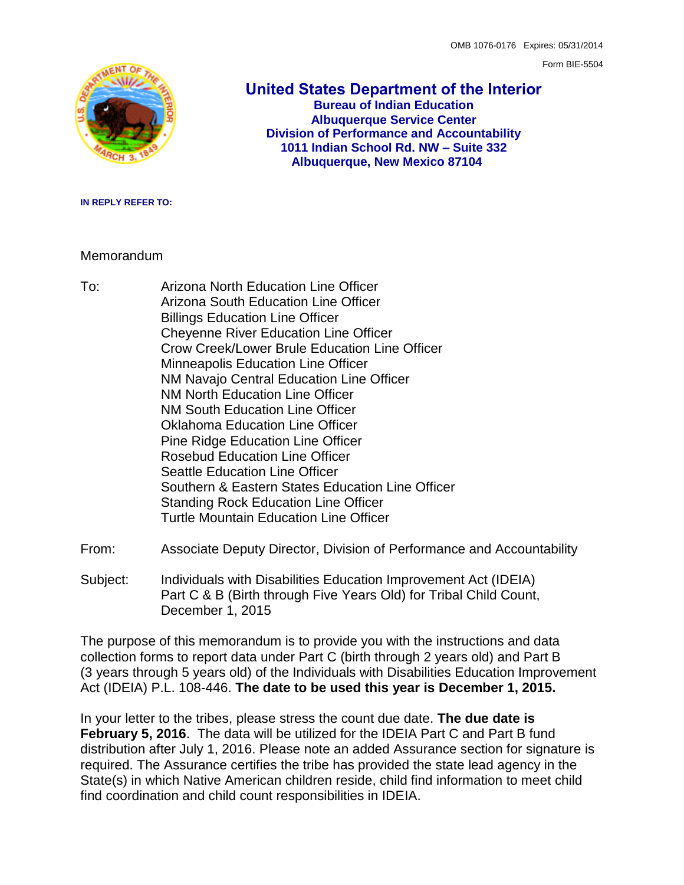Form BIE-5504



#### **United States Department of the Interior Bureau of Indian Education Albuquerque Service Center Division of Performance and Accountability 1011 Indian School Rd. NW – Suite 332 Albuquerque, New Mexico 87104**

#### **IN REPLY REFER TO:**

#### **Memorandum**

- To: Arizona North Education Line Officer Arizona South Education Line Officer Billings Education Line Officer Cheyenne River Education Line Officer Crow Creek/Lower Brule Education Line Officer Minneapolis Education Line Officer NM Navajo Central Education Line Officer NM North Education Line Officer NM South Education Line Officer Oklahoma Education Line Officer Pine Ridge Education Line Officer Rosebud Education Line Officer Seattle Education Line Officer Southern & Eastern States Education Line Officer Standing Rock Education Line Officer Turtle Mountain Education Line Officer
- From: Associate Deputy Director, Division of Performance and Accountability
- Subject: Individuals with Disabilities Education Improvement Act (IDEIA) Part C & B (Birth through Five Years Old) for Tribal Child Count, December 1, 2015

The purpose of this memorandum is to provide you with the instructions and data collection forms to report data under Part C (birth through 2 years old) and Part B (3 years through 5 years old) of the Individuals with Disabilities Education Improvement Act (IDEIA) P.L. 108-446. **The date to be used this year is December 1, 2015.**

In your letter to the tribes, please stress the count due date. **The due date is February 5, 2016**. The data will be utilized for the IDEIA Part C and Part B fund distribution after July 1, 2016. Please note an added Assurance section for signature is required. The Assurance certifies the tribe has provided the state lead agency in the State(s) in which Native American children reside, child find information to meet child find coordination and child count responsibilities in IDEIA.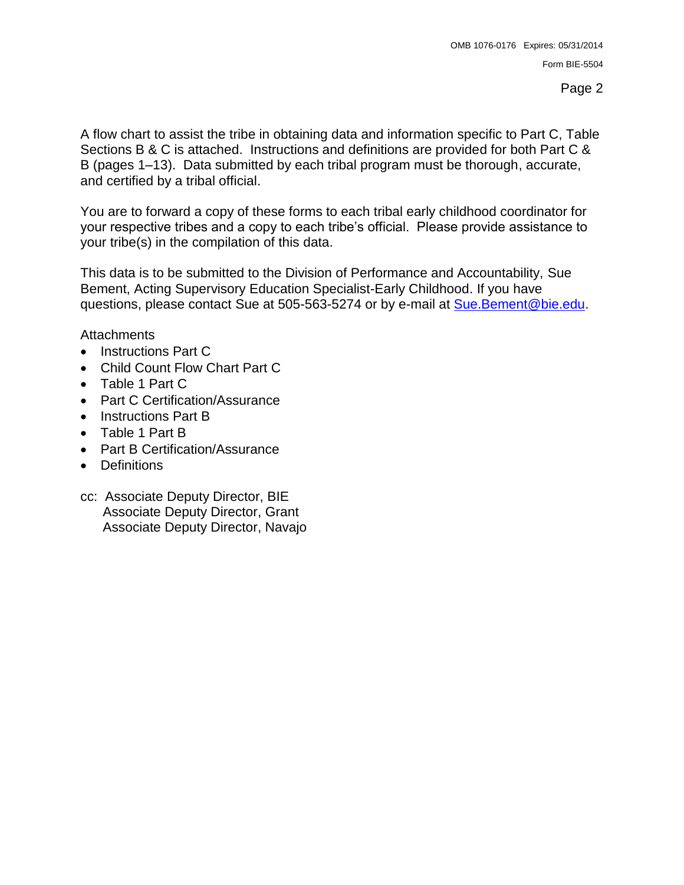A flow chart to assist the tribe in obtaining data and information specific to Part C, Table Sections B & C is attached. Instructions and definitions are provided for both Part C & B (pages 1–13). Data submitted by each tribal program must be thorough, accurate, and certified by a tribal official.

You are to forward a copy of these forms to each tribal early childhood coordinator for your respective tribes and a copy to each tribe's official. Please provide assistance to your tribe(s) in the compilation of this data.

This data is to be submitted to the Division of Performance and Accountability, Sue Bement, Acting Supervisory Education Specialist-Early Childhood. If you have questions, please contact Sue at 505-563-5274 or by e-mail at [Sue.Bement@bie.edu.](mailto:Sue.Bement@bie.edu)

**Attachments** 

- Instructions Part C
- Child Count Flow Chart Part C
- Table 1 Part C
- Part C Certification/Assurance
- Instructions Part B
- Table 1 Part B
- Part B Certification/Assurance
- Definitions
- cc: Associate Deputy Director, BIE Associate Deputy Director, Grant Associate Deputy Director, Navajo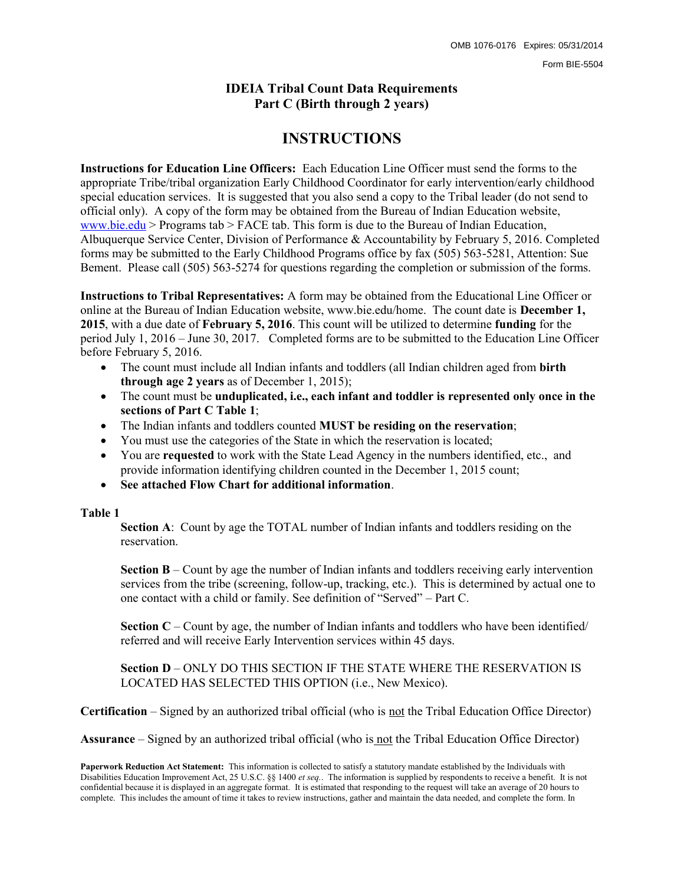#### **IDEIA Tribal Count Data Requirements Part C (Birth through 2 years)**

### **INSTRUCTIONS**

**Instructions for Education Line Officers:** Each Education Line Officer must send the forms to the appropriate Tribe/tribal organization Early Childhood Coordinator for early intervention/early childhood special education services. It is suggested that you also send a copy to the Tribal leader (do not send to official only). A copy of the form may be obtained from the Bureau of Indian Education website, [www.bie.edu](http://www.bie.edu/) > Programs tab > FACE tab. This form is due to the Bureau of Indian Education, Albuquerque Service Center, Division of Performance & Accountability by February 5, 2016. Completed forms may be submitted to the Early Childhood Programs office by fax (505) 563-5281, Attention: Sue Bement. Please call (505) 563-5274 for questions regarding the completion or submission of the forms.

**Instructions to Tribal Representatives:** A form may be obtained from the Educational Line Officer or online at the Bureau of Indian Education website, www.bie.edu/home. The count date is **December 1, 2015**, with a due date of **February 5, 2016**. This count will be utilized to determine **funding** for the period July 1, 2016 – June 30, 2017. Completed forms are to be submitted to the Education Line Officer before February 5, 2016.

- The count must include all Indian infants and toddlers (all Indian children aged from **birth through age 2 years** as of December 1, 2015);
- The count must be **unduplicated, i.e., each infant and toddler is represented only once in the sections of Part C Table 1**;
- The Indian infants and toddlers counted **MUST be residing on the reservation**;
- You must use the categories of the State in which the reservation is located;
- You are **requested** to work with the State Lead Agency in the numbers identified, etc., and provide information identifying children counted in the December 1, 2015 count;
- **See attached Flow Chart for additional information**.

#### **Table 1**

**Section A**: Count by age the TOTAL number of Indian infants and toddlers residing on the reservation.

**Section B** – Count by age the number of Indian infants and toddlers receiving early intervention services from the tribe (screening, follow-up, tracking, etc.). This is determined by actual one to one contact with a child or family. See definition of "Served" – Part C.

**Section C** – Count by age, the number of Indian infants and toddlers who have been identified/ referred and will receive Early Intervention services within 45 days.

**Section D** – ONLY DO THIS SECTION IF THE STATE WHERE THE RESERVATION IS LOCATED HAS SELECTED THIS OPTION (i.e., New Mexico).

**Certification** – Signed by an authorized tribal official (who is not the Tribal Education Office Director)

**Assurance** – Signed by an authorized tribal official (who is not the Tribal Education Office Director)

**Paperwork Reduction Act Statement:** This information is collected to satisfy a statutory mandate established by the Individuals with Disabilities Education Improvement Act, 25 U.S.C. §§ 1400 *et seq.*. The information is supplied by respondents to receive a benefit. It is not confidential because it is displayed in an aggregate format. It is estimated that responding to the request will take an average of 20 hours to complete. This includes the amount of time it takes to review instructions, gather and maintain the data needed, and complete the form. In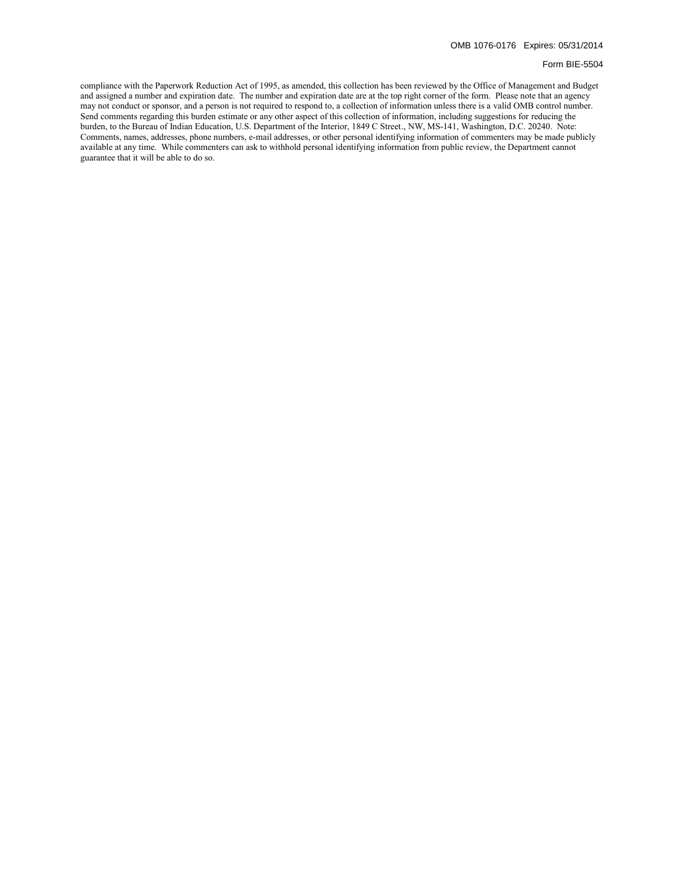#### OMB 1076-0176 Expires: 05/31/2014

#### Form BIE-5504

compliance with the Paperwork Reduction Act of 1995, as amended, this collection has been reviewed by the Office of Management and Budget and assigned a number and expiration date. The number and expiration date are at the top right corner of the form. Please note that an agency may not conduct or sponsor, and a person is not required to respond to, a collection of information unless there is a valid OMB control number. Send comments regarding this burden estimate or any other aspect of this collection of information, including suggestions for reducing the burden, to the Bureau of Indian Education, U.S. Department of the Interior, 1849 C Street., NW, MS-141, Washington, D.C. 20240. Note: Comments, names, addresses, phone numbers, e-mail addresses, or other personal identifying information of commenters may be made publicly available at any time. While commenters can ask to withhold personal identifying information from public review, the Department cannot guarantee that it will be able to do so.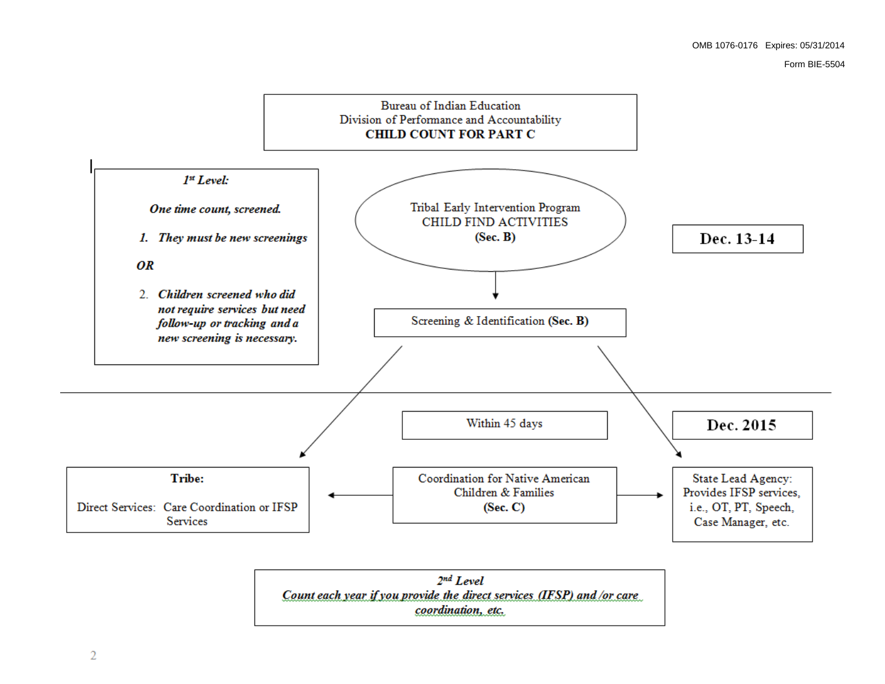

 $2<sup>nd</sup>$  Level Count each year if you provide the direct services (IFSP) and /or care coordination, etc.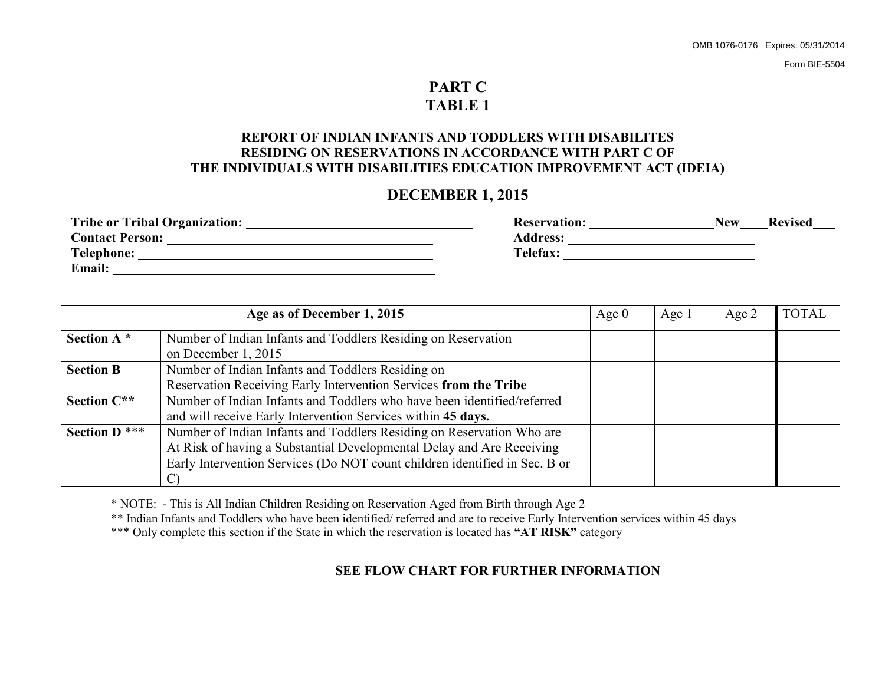Form BIE-5504

# **PART C TABLE 1**

#### **REPORT OF INDIAN INFANTS AND TODDLERS WITH DISABILITES RESIDING ON RESERVATIONS IN ACCORDANCE WITH PART C OF THE INDIVIDUALS WITH DISABILITIES EDUCATION IMPROVEMENT ACT (IDEIA)**

#### **DECEMBER 1, 2015**

| <b>Tribe or Tribal Organization:</b> | <b>Reservation:</b> | <b>New</b> | <b>Revised</b> |
|--------------------------------------|---------------------|------------|----------------|
| <b>Contact Person:</b>               | <b>Address:</b>     |            |                |
| <b>Telephone:</b>                    | <b>Telefax:</b>     |            |                |
| <b>Email:</b>                        |                     |            |                |

| Age as of December 1, 2015 |                                                                            |  | Age 1 | Age 2 | <b>TOTAL</b> |
|----------------------------|----------------------------------------------------------------------------|--|-------|-------|--------------|
| Section A <sup>*</sup>     | Number of Indian Infants and Toddlers Residing on Reservation              |  |       |       |              |
|                            | on December 1, 2015                                                        |  |       |       |              |
| <b>Section B</b>           | Number of Indian Infants and Toddlers Residing on                          |  |       |       |              |
|                            | Reservation Receiving Early Intervention Services from the Tribe           |  |       |       |              |
| Section C**                | Number of Indian Infants and Toddlers who have been identified/referred    |  |       |       |              |
|                            | and will receive Early Intervention Services within 45 days.               |  |       |       |              |
| <b>Section D</b> ***       | Number of Indian Infants and Toddlers Residing on Reservation Who are      |  |       |       |              |
|                            | At Risk of having a Substantial Developmental Delay and Are Receiving      |  |       |       |              |
|                            | Early Intervention Services (Do NOT count children identified in Sec. B or |  |       |       |              |
|                            |                                                                            |  |       |       |              |

\* NOTE: - This is All Indian Children Residing on Reservation Aged from Birth through Age 2

\*\* Indian Infants and Toddlers who have been identified/ referred and are to receive Early Intervention services within 45 days

\*\*\* Only complete this section if the State in which the reservation is located has "AT RISK" category

#### **SEE FLOW CHART FOR FURTHER INFORMATION**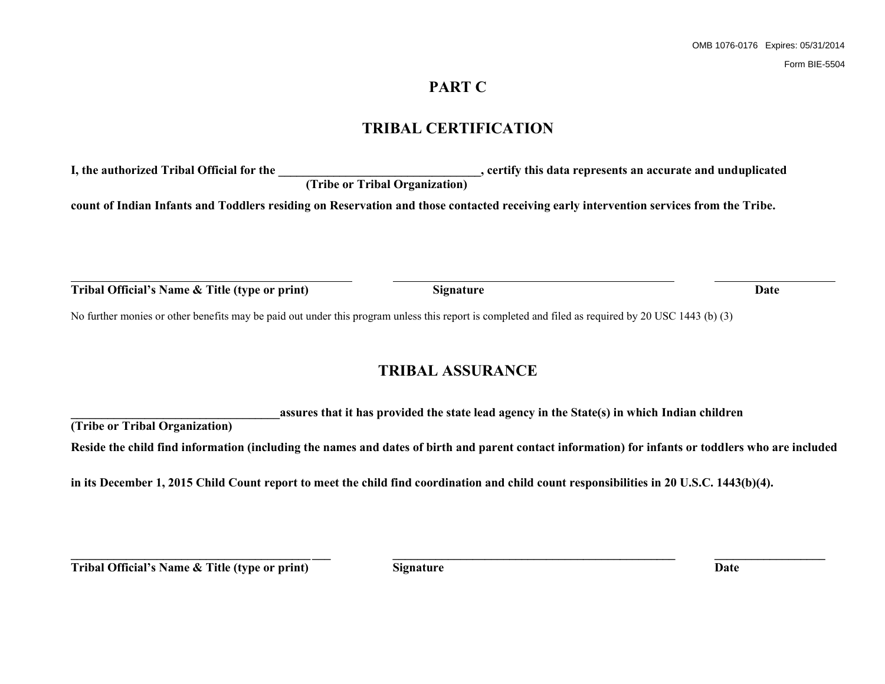# **PART C**

## **TRIBAL CERTIFICATION**

**I, the authorized Tribal Official for the \_\_\_\_\_\_\_\_\_\_\_\_\_\_\_\_\_\_\_\_\_\_\_\_\_\_\_\_\_\_\_\_\_, certify this data represents an accurate and unduplicated (Tribe or Tribal Organization)**

**count of Indian Infants and Toddlers residing on Reservation and those contacted receiving early intervention services from the Tribe.**

**Tribal Official's Name & Title (type or print) Signature Date**

No further monies or other benefits may be paid out under this program unless this report is completed and filed as required by 20 USC 1443 (b) (3)

## **TRIBAL ASSURANCE**

**\_\_\_\_\_\_\_\_\_\_\_\_\_\_\_\_\_\_\_\_\_\_\_\_\_\_\_\_\_\_\_\_\_\_assures that it has provided the state lead agency in the State(s) in which Indian children** 

**(Tribe or Tribal Organization)**

**Reside the child find information (including the names and dates of birth and parent contact information) for infants or toddlers who are included**

**\_\_\_\_\_\_\_\_\_\_\_\_\_\_\_\_\_\_\_\_\_\_\_\_\_\_\_\_\_\_\_\_\_\_\_\_\_\_\_ \_\_\_ \_\_\_\_\_\_\_\_\_\_\_\_\_\_\_\_\_\_\_\_\_\_\_\_\_\_\_\_\_\_\_\_\_\_\_\_\_\_\_\_\_\_\_\_\_\_ \_\_\_\_\_\_\_\_\_\_\_\_\_\_\_\_\_\_**

**in its December 1, 2015 Child Count report to meet the child find coordination and child count responsibilities in 20 U.S.C. 1443(b)(4).**

**Tribal Official's Name & Title (type or print) Signature Signature Date**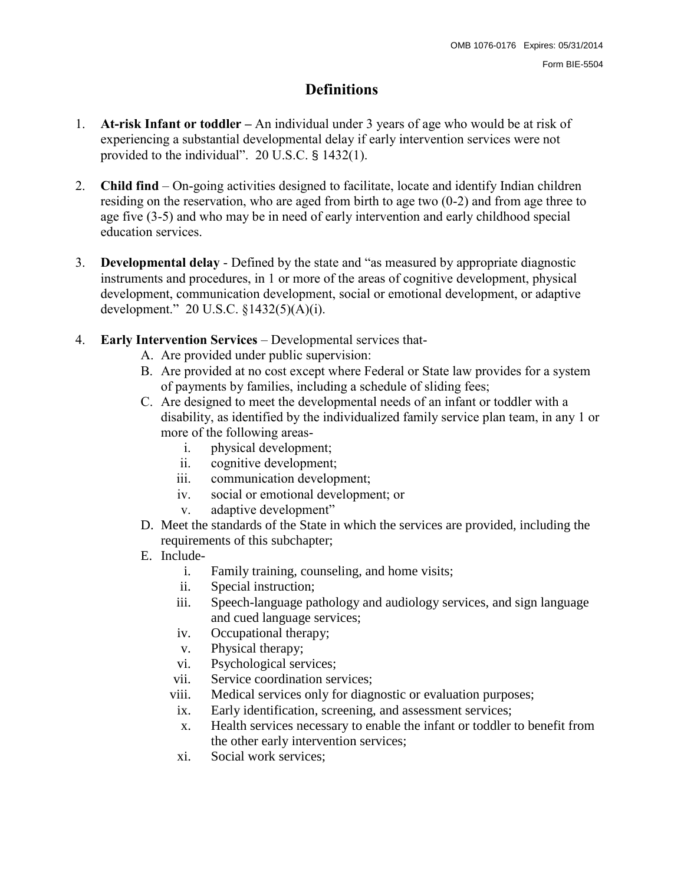## **Definitions**

- 1. **At-risk Infant or toddler –** An individual under 3 years of age who would be at risk of experiencing a substantial developmental delay if early intervention services were not provided to the individual". 20 U.S.C. § 1432(1).
- 2. **Child find** On-going activities designed to facilitate, locate and identify Indian children residing on the reservation, who are aged from birth to age two (0-2) and from age three to age five (3-5) and who may be in need of early intervention and early childhood special education services.
- 3. **Developmental delay**  Defined by the state and "as measured by appropriate diagnostic instruments and procedures, in 1 or more of the areas of cognitive development, physical development, communication development, social or emotional development, or adaptive development." 20 U.S.C. §1432(5)(A)(i).
- 4. **Early Intervention Services** Developmental services that-
	- A. Are provided under public supervision:
	- B. Are provided at no cost except where Federal or State law provides for a system of payments by families, including a schedule of sliding fees;
	- C. Are designed to meet the developmental needs of an infant or toddler with a disability, as identified by the individualized family service plan team, in any 1 or more of the following areas
		- i. physical development;
		- ii. cognitive development;
		- iii. communication development;
		- iv. social or emotional development; or
		- v. adaptive development"
	- D. Meet the standards of the State in which the services are provided, including the requirements of this subchapter;
	- E. Include
		- i. Family training, counseling, and home visits;
		- ii. Special instruction;
		- iii. Speech-language pathology and audiology services, and sign language and cued language services;
		- iv. Occupational therapy;
		- v. Physical therapy;
		- vi. Psychological services;
		- vii. Service coordination services;
		- viii. Medical services only for diagnostic or evaluation purposes;
		- ix. Early identification, screening, and assessment services;
		- x. Health services necessary to enable the infant or toddler to benefit from the other early intervention services;
		- xi. Social work services;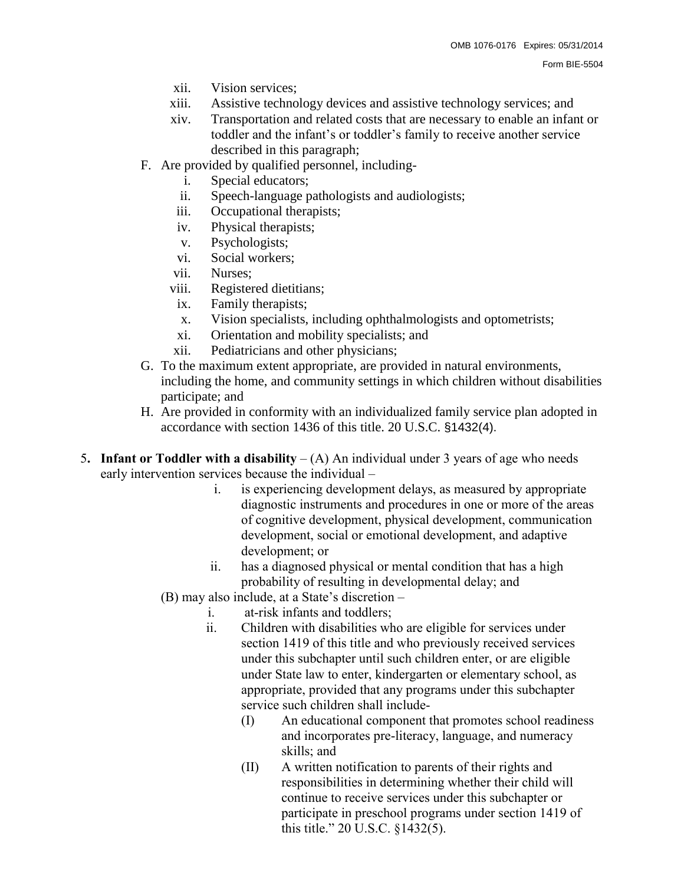- xii. Vision services;
- xiii. Assistive technology devices and assistive technology services; and
- xiv. Transportation and related costs that are necessary to enable an infant or toddler and the infant's or toddler's family to receive another service described in this paragraph;
- F. Are provided by qualified personnel, including
	- i. Special educators;
	- ii. Speech-language pathologists and audiologists;
	- iii. Occupational therapists;
	- iv. Physical therapists;
	- v. Psychologists;
	- vi. Social workers;
	- vii. Nurses;
	- viii. Registered dietitians;
	- ix. Family therapists;
	- x. Vision specialists, including ophthalmologists and optometrists;
	- xi. Orientation and mobility specialists; and
	- xii. Pediatricians and other physicians;
- G. To the maximum extent appropriate, are provided in natural environments, including the home, and community settings in which children without disabilities participate; and
- H. Are provided in conformity with an individualized family service plan adopted in accordance with section 1436 of this title. 20 U.S.C. §1432(4).
- 5**. Infant or Toddler with a disability** (A) An individual under 3 years of age who needs early intervention services because the individual –
	- i. is experiencing development delays, as measured by appropriate diagnostic instruments and procedures in one or more of the areas of cognitive development, physical development, communication development, social or emotional development, and adaptive development; or
	- ii. has a diagnosed physical or mental condition that has a high probability of resulting in developmental delay; and
	- (B) may also include, at a State's discretion
		- i. at-risk infants and toddlers;
		- ii. Children with disabilities who are eligible for services under section 1419 of this title and who previously received services under this subchapter until such children enter, or are eligible under State law to enter, kindergarten or elementary school, as appropriate, provided that any programs under this subchapter service such children shall include-
			- (I) An educational component that promotes school readiness and incorporates pre-literacy, language, and numeracy skills; and
			- (II) A written notification to parents of their rights and responsibilities in determining whether their child will continue to receive services under this subchapter or participate in preschool programs under section 1419 of this title." 20 U.S.C. §1432(5).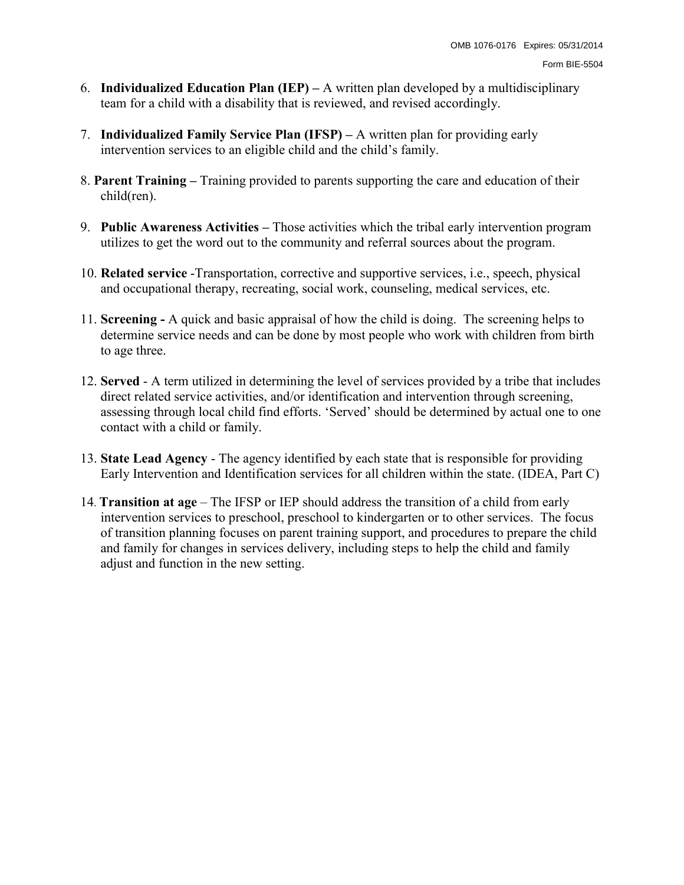- 6. **Individualized Education Plan (IEP) –** A written plan developed by a multidisciplinary team for a child with a disability that is reviewed, and revised accordingly.
- 7. **Individualized Family Service Plan (IFSP) –** A written plan for providing early intervention services to an eligible child and the child's family.
- 8. **Parent Training –** Training provided to parents supporting the care and education of their child(ren).
- 9. **Public Awareness Activities –** Those activities which the tribal early intervention program utilizes to get the word out to the community and referral sources about the program.
- 10. **Related service** -Transportation, corrective and supportive services, i.e., speech, physical and occupational therapy, recreating, social work, counseling, medical services, etc.
- 11. **Screening -** A quick and basic appraisal of how the child is doing. The screening helps to determine service needs and can be done by most people who work with children from birth to age three.
- 12. **Served**  A term utilized in determining the level of services provided by a tribe that includes direct related service activities, and/or identification and intervention through screening, assessing through local child find efforts. 'Served' should be determined by actual one to one contact with a child or family.
- 13. **State Lead Agency** The agency identified by each state that is responsible for providing Early Intervention and Identification services for all children within the state. (IDEA, Part C)
- 14. **Transition at age** The IFSP or IEP should address the transition of a child from early intervention services to preschool, preschool to kindergarten or to other services. The focus of transition planning focuses on parent training support, and procedures to prepare the child and family for changes in services delivery, including steps to help the child and family adjust and function in the new setting.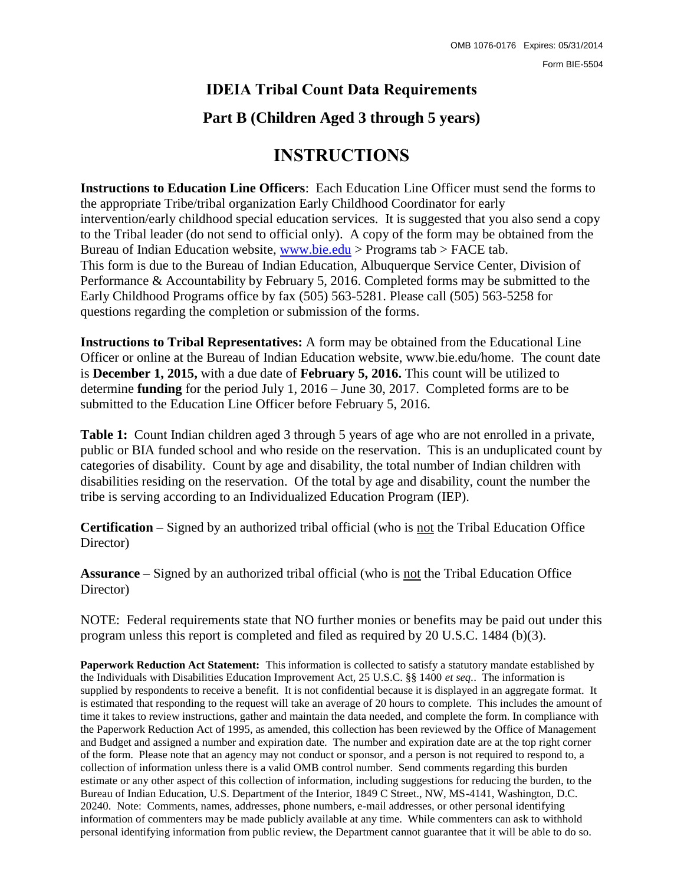# **IDEIA Tribal Count Data Requirements**

# **Part B (Children Aged 3 through 5 years)**

# **INSTRUCTIONS**

**Instructions to Education Line Officers**: Each Education Line Officer must send the forms to the appropriate Tribe/tribal organization Early Childhood Coordinator for early intervention/early childhood special education services. It is suggested that you also send a copy to the Tribal leader (do not send to official only). A copy of the form may be obtained from the Bureau of Indian Education website, [www.bie.edu](http://www.bie.edu/) > Programs tab > FACE tab. This form is due to the Bureau of Indian Education, Albuquerque Service Center, Division of Performance & Accountability by February 5, 2016. Completed forms may be submitted to the Early Childhood Programs office by fax (505) 563-5281. Please call (505) 563-5258 for questions regarding the completion or submission of the forms.

**Instructions to Tribal Representatives:** A form may be obtained from the Educational Line Officer or online at the Bureau of Indian Education website, www.bie.edu/home. The count date is **December 1, 2015,** with a due date of **February 5, 2016.** This count will be utilized to determine **funding** for the period July 1, 2016 – June 30, 2017. Completed forms are to be submitted to the Education Line Officer before February 5, 2016.

**Table 1:** Count Indian children aged 3 through 5 years of age who are not enrolled in a private, public or BIA funded school and who reside on the reservation. This is an unduplicated count by categories of disability. Count by age and disability, the total number of Indian children with disabilities residing on the reservation. Of the total by age and disability, count the number the tribe is serving according to an Individualized Education Program (IEP).

**Certification** – Signed by an authorized tribal official (who is not the Tribal Education Office Director)

**Assurance** – Signed by an authorized tribal official (who is not the Tribal Education Office Director)

NOTE: Federal requirements state that NO further monies or benefits may be paid out under this program unless this report is completed and filed as required by 20 U.S.C. 1484 (b)(3).

**Paperwork Reduction Act Statement:** This information is collected to satisfy a statutory mandate established by the Individuals with Disabilities Education Improvement Act, 25 U.S.C. §§ 1400 *et seq.*. The information is supplied by respondents to receive a benefit. It is not confidential because it is displayed in an aggregate format. It is estimated that responding to the request will take an average of 20 hours to complete. This includes the amount of time it takes to review instructions, gather and maintain the data needed, and complete the form. In compliance with the Paperwork Reduction Act of 1995, as amended, this collection has been reviewed by the Office of Management and Budget and assigned a number and expiration date. The number and expiration date are at the top right corner of the form. Please note that an agency may not conduct or sponsor, and a person is not required to respond to, a collection of information unless there is a valid OMB control number. Send comments regarding this burden estimate or any other aspect of this collection of information, including suggestions for reducing the burden, to the Bureau of Indian Education, U.S. Department of the Interior, 1849 C Street., NW, MS-4141, Washington, D.C. 20240. Note: Comments, names, addresses, phone numbers, e-mail addresses, or other personal identifying information of commenters may be made publicly available at any time. While commenters can ask to withhold personal identifying information from public review, the Department cannot guarantee that it will be able to do so.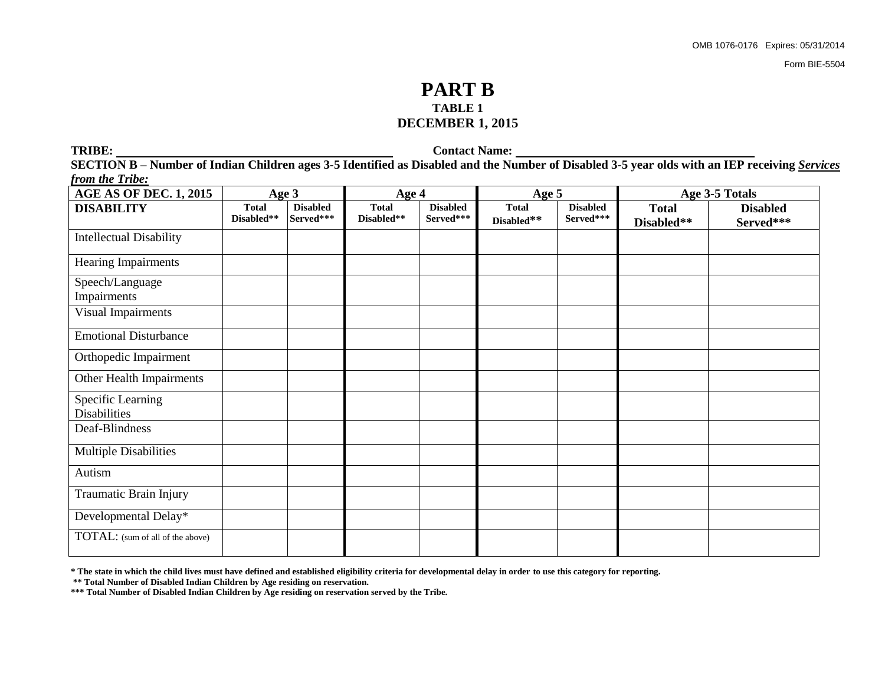### **PART B TABLE 1 DECEMBER 1, 2015**

**TRIBE:** Contact Name:

**SECTION B – Number of Indian Children ages 3-5 Identified as Disabled and the Number of Disabled 3-5 year olds with an IEP receiving** *Services from the Tribe:*

| <b>AGE AS OF DEC. 1, 2015</b>            | Age 3                      |                              | Age 4                      |                              | Age 5                      |                              | Age 3-5 Totals             |                              |
|------------------------------------------|----------------------------|------------------------------|----------------------------|------------------------------|----------------------------|------------------------------|----------------------------|------------------------------|
| <b>DISABILITY</b>                        | <b>Total</b><br>Disabled** | <b>Disabled</b><br>Served*** | <b>Total</b><br>Disabled** | <b>Disabled</b><br>Served*** | <b>Total</b><br>Disabled** | <b>Disabled</b><br>Served*** | <b>Total</b><br>Disabled** | <b>Disabled</b><br>Served*** |
| <b>Intellectual Disability</b>           |                            |                              |                            |                              |                            |                              |                            |                              |
| Hearing Impairments                      |                            |                              |                            |                              |                            |                              |                            |                              |
| Speech/Language<br>Impairments           |                            |                              |                            |                              |                            |                              |                            |                              |
| <b>Visual Impairments</b>                |                            |                              |                            |                              |                            |                              |                            |                              |
| <b>Emotional Disturbance</b>             |                            |                              |                            |                              |                            |                              |                            |                              |
| Orthopedic Impairment                    |                            |                              |                            |                              |                            |                              |                            |                              |
| Other Health Impairments                 |                            |                              |                            |                              |                            |                              |                            |                              |
| Specific Learning<br><b>Disabilities</b> |                            |                              |                            |                              |                            |                              |                            |                              |
| Deaf-Blindness                           |                            |                              |                            |                              |                            |                              |                            |                              |
| <b>Multiple Disabilities</b>             |                            |                              |                            |                              |                            |                              |                            |                              |
| Autism                                   |                            |                              |                            |                              |                            |                              |                            |                              |
| Traumatic Brain Injury                   |                            |                              |                            |                              |                            |                              |                            |                              |
| Developmental Delay*                     |                            |                              |                            |                              |                            |                              |                            |                              |
| TOTAL: (sum of all of the above)         |                            |                              |                            |                              |                            |                              |                            |                              |

**\* The state in which the child lives must have defined and established eligibility criteria for developmental delay in order to use this category for reporting.**

**\*\* Total Number of Disabled Indian Children by Age residing on reservation.**

**\*\*\* Total Number of Disabled Indian Children by Age residing on reservation served by the Tribe.**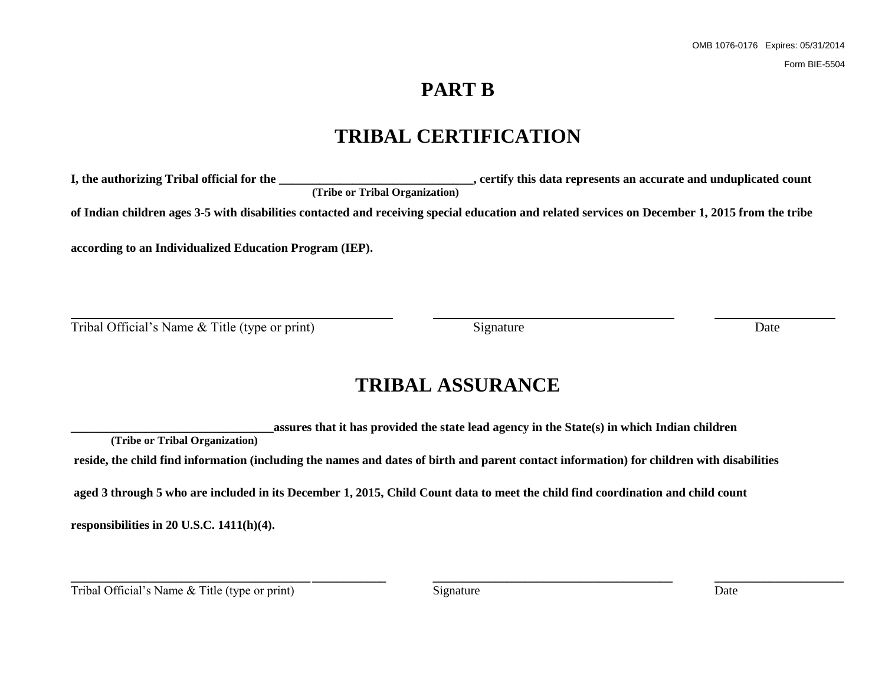# **PART B**

# **TRIBAL CERTIFICATION**

**I, the authorizing Tribal official for the \_\_\_\_\_\_\_\_\_\_\_\_\_\_\_\_\_\_\_\_\_\_\_\_\_\_\_\_\_, certify this data represents an accurate and unduplicated count (Tribe or Tribal Organization)**

**of Indian children ages 3-5 with disabilities contacted and receiving special education and related services on December 1, 2015 from the tribe** 

**according to an Individualized Education Program (IEP).**

Tribal Official's Name & Title (type or print) Signature Signature Date

# **TRIBAL ASSURANCE**

**\_\_\_\_\_\_\_\_\_\_\_\_\_\_\_\_\_\_\_\_\_\_\_\_\_\_\_\_\_\_\_\_\_assures that it has provided the state lead agency in the State(s) in which Indian children (Tribe or Tribal Organization) reside, the child find information (including the names and dates of birth and parent contact information) for children with disabilities aged 3 through 5 who are included in its December 1, 2015, Child Count data to meet the child find coordination and child count responsibilities in 20 U.S.C. 1411(h)(4).** 

Tribal Official's Name & Title (type or print) Signature Signature Date

**\_\_\_\_\_\_\_\_\_\_\_\_\_\_\_\_\_\_\_\_\_\_\_\_\_\_\_\_\_\_\_\_\_\_\_\_\_\_\_ \_\_\_\_\_\_\_\_\_\_\_\_ \_\_\_\_\_\_\_\_\_\_\_\_\_\_\_\_\_\_\_\_\_\_\_\_\_\_\_\_\_\_\_\_\_\_\_\_\_\_\_ \_\_\_\_\_\_\_\_\_\_\_\_\_\_\_\_\_\_\_\_\_**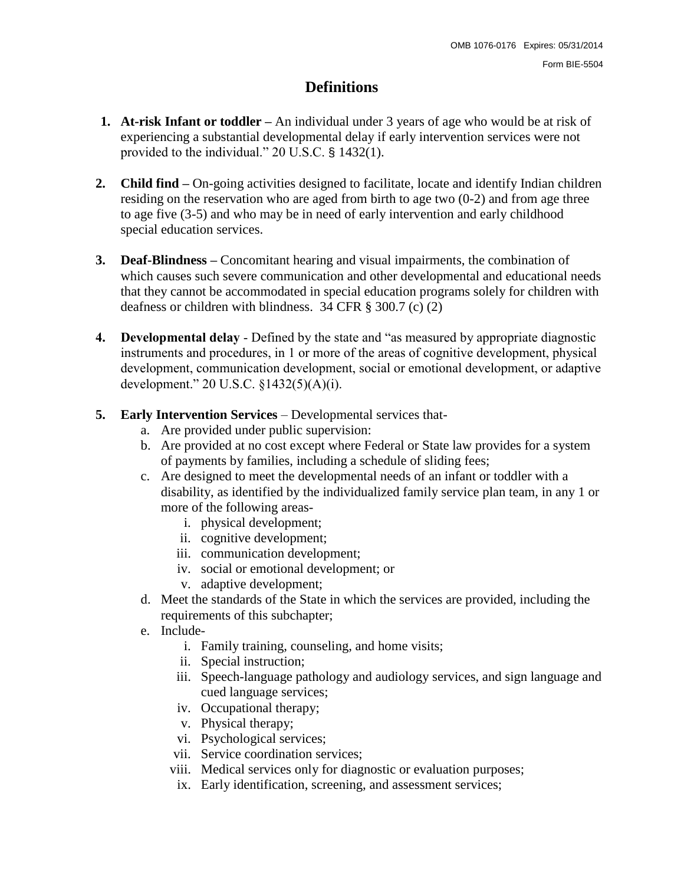### **Definitions**

- **1. At-risk Infant or toddler –** An individual under 3 years of age who would be at risk of experiencing a substantial developmental delay if early intervention services were not provided to the individual." 20 U.S.C. § 1432(1).
- **2. Child find –** On-going activities designed to facilitate, locate and identify Indian children residing on the reservation who are aged from birth to age two (0-2) and from age three to age five (3-5) and who may be in need of early intervention and early childhood special education services.
- **3. Deaf-Blindness –** Concomitant hearing and visual impairments, the combination of which causes such severe communication and other developmental and educational needs that they cannot be accommodated in special education programs solely for children with deafness or children with blindness. 34 CFR § 300.7 (c) (2)
- **4. Developmental delay**  Defined by the state and "as measured by appropriate diagnostic instruments and procedures, in 1 or more of the areas of cognitive development, physical development, communication development, social or emotional development, or adaptive development." 20 U.S.C. §1432(5)(A)(i).
- **5. Early Intervention Services** Developmental services that
	- a. Are provided under public supervision:
	- b. Are provided at no cost except where Federal or State law provides for a system of payments by families, including a schedule of sliding fees;
	- c. Are designed to meet the developmental needs of an infant or toddler with a disability, as identified by the individualized family service plan team, in any 1 or more of the following areas
		- i. physical development;
		- ii. cognitive development;
		- iii. communication development;
		- iv. social or emotional development; or
		- v. adaptive development;
	- d. Meet the standards of the State in which the services are provided, including the requirements of this subchapter;
	- e. Include
		- i. Family training, counseling, and home visits;
		- ii. Special instruction;
		- iii. Speech-language pathology and audiology services, and sign language and cued language services;
		- iv. Occupational therapy;
		- v. Physical therapy;
		- vi. Psychological services;
		- vii. Service coordination services;
		- viii. Medical services only for diagnostic or evaluation purposes;
		- ix. Early identification, screening, and assessment services;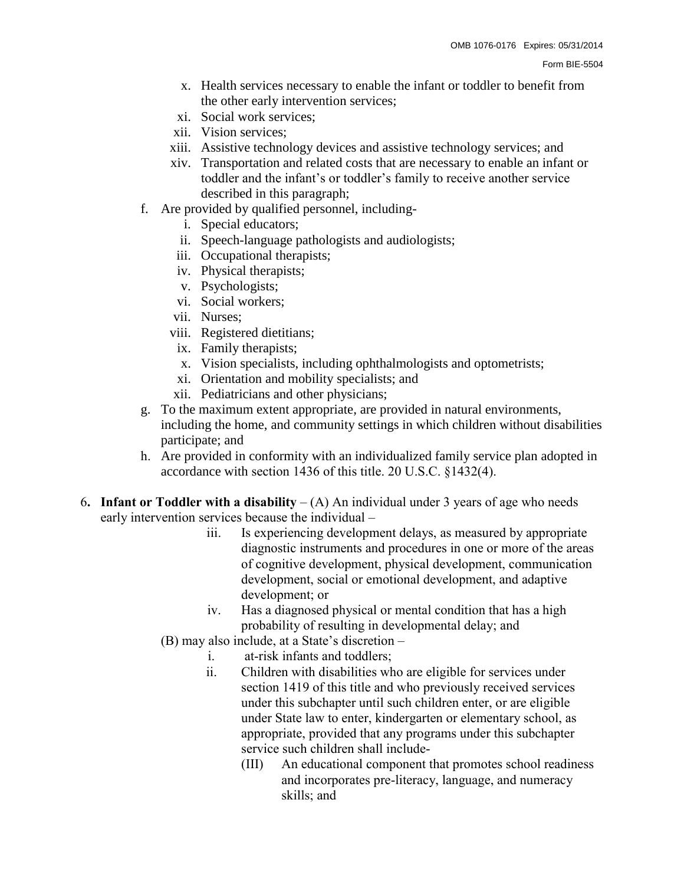- x. Health services necessary to enable the infant or toddler to benefit from the other early intervention services;
- xi. Social work services;
- xii. Vision services;
- xiii. Assistive technology devices and assistive technology services; and
- xiv. Transportation and related costs that are necessary to enable an infant or toddler and the infant's or toddler's family to receive another service described in this paragraph;
- f. Are provided by qualified personnel, including
	- i. Special educators;
	- ii. Speech-language pathologists and audiologists;
	- iii. Occupational therapists;
	- iv. Physical therapists;
	- v. Psychologists;
	- vi. Social workers;
	- vii. Nurses;
	- viii. Registered dietitians;
	- ix. Family therapists;
	- x. Vision specialists, including ophthalmologists and optometrists;
	- xi. Orientation and mobility specialists; and
	- xii. Pediatricians and other physicians;
- g. To the maximum extent appropriate, are provided in natural environments, including the home, and community settings in which children without disabilities participate; and
- h. Are provided in conformity with an individualized family service plan adopted in accordance with section 1436 of this title. 20 U.S.C. §1432(4).
- 6. **Infant or Toddler with a disability** (A) An individual under 3 years of age who needs early intervention services because the individual –
	- iii. Is experiencing development delays, as measured by appropriate diagnostic instruments and procedures in one or more of the areas of cognitive development, physical development, communication development, social or emotional development, and adaptive development; or
	- iv. Has a diagnosed physical or mental condition that has a high probability of resulting in developmental delay; and
	- (B) may also include, at a State's discretion
		- i. at-risk infants and toddlers;
		- ii. Children with disabilities who are eligible for services under section 1419 of this title and who previously received services under this subchapter until such children enter, or are eligible under State law to enter, kindergarten or elementary school, as appropriate, provided that any programs under this subchapter service such children shall include-
			- (III) An educational component that promotes school readiness and incorporates pre-literacy, language, and numeracy skills; and